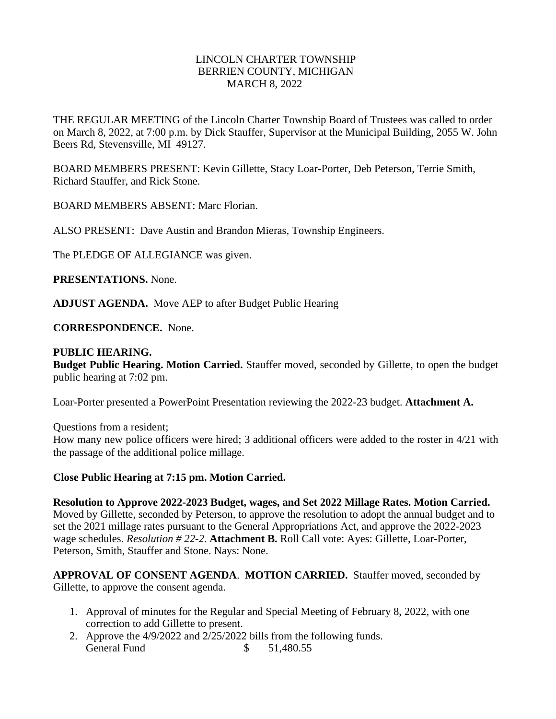### LINCOLN CHARTER TOWNSHIP BERRIEN COUNTY, MICHIGAN MARCH 8, 2022

THE REGULAR MEETING of the Lincoln Charter Township Board of Trustees was called to order on March 8, 2022, at 7:00 p.m. by Dick Stauffer, Supervisor at the Municipal Building, 2055 W. John Beers Rd, Stevensville, MI 49127.

BOARD MEMBERS PRESENT: Kevin Gillette, Stacy Loar-Porter, Deb Peterson, Terrie Smith, Richard Stauffer, and Rick Stone.

BOARD MEMBERS ABSENT: Marc Florian.

ALSO PRESENT: Dave Austin and Brandon Mieras, Township Engineers.

The PLEDGE OF ALLEGIANCE was given.

**PRESENTATIONS.** None.

**ADJUST AGENDA.** Move AEP to after Budget Public Hearing

**CORRESPONDENCE.** None.

### **PUBLIC HEARING.**

**Budget Public Hearing. Motion Carried.** Stauffer moved, seconded by Gillette, to open the budget public hearing at 7:02 pm.

Loar-Porter presented a PowerPoint Presentation reviewing the 2022-23 budget. **Attachment A.**

Questions from a resident;

How many new police officers were hired; 3 additional officers were added to the roster in 4/21 with the passage of the additional police millage.

### **Close Public Hearing at 7:15 pm. Motion Carried.**

**Resolution to Approve 2022-2023 Budget, wages, and Set 2022 Millage Rates. Motion Carried.**  Moved by Gillette, seconded by Peterson, to approve the resolution to adopt the annual budget and to set the 2021 millage rates pursuant to the General Appropriations Act, and approve the 2022-2023 wage schedules. *Resolution # 22-2.* **Attachment B.** Roll Call vote: Ayes: Gillette, Loar-Porter, Peterson, Smith, Stauffer and Stone. Nays: None.

**APPROVAL OF CONSENT AGENDA**. **MOTION CARRIED.** Stauffer moved, seconded by Gillette, to approve the consent agenda.

- 1. Approval of minutes for the Regular and Special Meeting of February 8, 2022, with one correction to add Gillette to present.
- 2. Approve the 4/9/2022 and 2/25/2022 bills from the following funds. General Fund \$ 51,480.55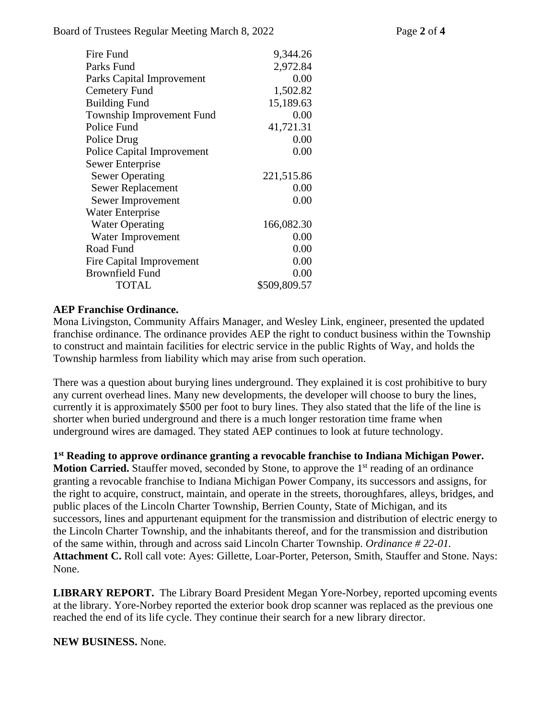| Fire Fund                       | 9,344.26     |
|---------------------------------|--------------|
| Parks Fund                      | 2,972.84     |
| Parks Capital Improvement       | 0.00         |
| <b>Cemetery Fund</b>            | 1,502.82     |
| <b>Building Fund</b>            | 15,189.63    |
| Township Improvement Fund       | 0.00         |
| Police Fund                     | 41,721.31    |
| Police Drug                     | 0.00         |
| Police Capital Improvement      | 0.00         |
| Sewer Enterprise                |              |
| <b>Sewer Operating</b>          | 221,515.86   |
| <b>Sewer Replacement</b>        | 0.00         |
| Sewer Improvement               | 0.00         |
| Water Enterprise                |              |
| <b>Water Operating</b>          | 166,082.30   |
| Water Improvement               | 0.00         |
| Road Fund                       | 0.00         |
| <b>Fire Capital Improvement</b> | 0.00         |
| <b>Brownfield Fund</b>          | 0.00         |
| TOTAL                           | \$509,809.57 |
|                                 |              |

# **AEP Franchise Ordinance.**

Mona Livingston, Community Affairs Manager, and Wesley Link, engineer, presented the updated franchise ordinance. The ordinance provides AEP the right to conduct business within the Township to construct and maintain facilities for electric service in the public Rights of Way, and holds the Township harmless from liability which may arise from such operation.

There was a question about burying lines underground. They explained it is cost prohibitive to bury any current overhead lines. Many new developments, the developer will choose to bury the lines, currently it is approximately \$500 per foot to bury lines. They also stated that the life of the line is shorter when buried underground and there is a much longer restoration time frame when underground wires are damaged. They stated AEP continues to look at future technology.

**1 st Reading to approve ordinance granting a revocable franchise to Indiana Michigan Power. Motion Carried.** Stauffer moved, seconded by Stone, to approve the 1<sup>st</sup> reading of an ordinance granting a revocable franchise to Indiana Michigan Power Company, its successors and assigns, for the right to acquire, construct, maintain, and operate in the streets, thoroughfares, alleys, bridges, and public places of the Lincoln Charter Township, Berrien County, State of Michigan, and its successors, lines and appurtenant equipment for the transmission and distribution of electric energy to the Lincoln Charter Township, and the inhabitants thereof, and for the transmission and distribution of the same within, through and across said Lincoln Charter Township. *Ordinance # 22-01.*  **Attachment C.** Roll call vote: Ayes: Gillette, Loar-Porter, Peterson, Smith, Stauffer and Stone. Nays: None.

**LIBRARY REPORT.** The Library Board President Megan Yore-Norbey, reported upcoming events at the library. Yore-Norbey reported the exterior book drop scanner was replaced as the previous one reached the end of its life cycle. They continue their search for a new library director.

**NEW BUSINESS.** None.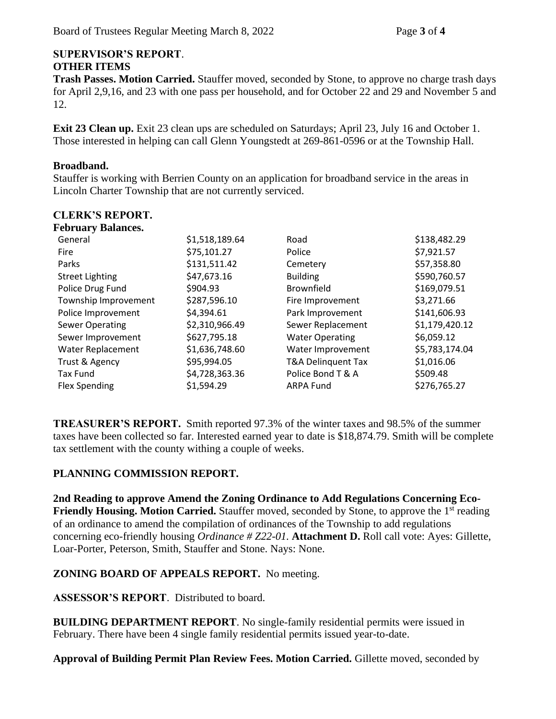### **SUPERVISOR'S REPORT**. **OTHER ITEMS**

**Trash Passes. Motion Carried.** Stauffer moved, seconded by Stone, to approve no charge trash days for April 2,9,16, and 23 with one pass per household, and for October 22 and 29 and November 5 and 12.

**Exit 23 Clean up.** Exit 23 clean ups are scheduled on Saturdays; April 23, July 16 and October 1. Those interested in helping can call Glenn Youngstedt at 269-861-0596 or at the Township Hall.

### **Broadband.**

Stauffer is working with Berrien County on an application for broadband service in the areas in Lincoln Charter Township that are not currently serviced.

| <b>CLERK'S REPORT.</b> |  |  |  |  |
|------------------------|--|--|--|--|
| Fehruary Ralances      |  |  |  |  |

| r tvi uai y Dalahtts.  |                |                               |                |
|------------------------|----------------|-------------------------------|----------------|
| General                | \$1,518,189.64 | Road                          | \$138,482.29   |
| <b>Fire</b>            | \$75,101.27    | Police                        | \$7,921.57     |
| Parks                  | \$131,511.42   | Cemetery                      | \$57,358.80    |
| <b>Street Lighting</b> | \$47,673.16    | <b>Building</b>               | \$590,760.57   |
| Police Drug Fund       | \$904.93       | <b>Brownfield</b>             | \$169,079.51   |
| Township Improvement   | \$287,596.10   | Fire Improvement              | \$3,271.66     |
| Police Improvement     | \$4,394.61     | Park Improvement              | \$141,606.93   |
| <b>Sewer Operating</b> | \$2,310,966.49 | Sewer Replacement             | \$1,179,420.12 |
| Sewer Improvement      | \$627,795.18   | <b>Water Operating</b>        | \$6,059.12     |
| Water Replacement      | \$1,636,748.60 | Water Improvement             | \$5,783,174.04 |
| Trust & Agency         | \$95,994.05    | <b>T&amp;A Delinquent Tax</b> | \$1,016.06     |
| <b>Tax Fund</b>        | \$4,728,363.36 | Police Bond T & A             | \$509.48       |
| <b>Flex Spending</b>   | \$1,594.29     | <b>ARPA Fund</b>              | \$276,765.27   |
|                        |                |                               |                |

**TREASURER'S REPORT.** Smith reported 97.3% of the winter taxes and 98.5% of the summer taxes have been collected so far. Interested earned year to date is \$18,874.79. Smith will be complete tax settlement with the county withing a couple of weeks.

# **PLANNING COMMISSION REPORT.**

**2nd Reading to approve Amend the Zoning Ordinance to Add Regulations Concerning Eco-Friendly Housing. Motion Carried.** Stauffer moved, seconded by Stone, to approve the 1<sup>st</sup> reading of an ordinance to amend the compilation of ordinances of the Township to add regulations concerning eco-friendly housing *Ordinance # Z22-01.* **Attachment D.** Roll call vote: Ayes: Gillette, Loar-Porter, Peterson, Smith, Stauffer and Stone. Nays: None.

# **ZONING BOARD OF APPEALS REPORT.** No meeting.

# **ASSESSOR'S REPORT**. Distributed to board.

**BUILDING DEPARTMENT REPORT**. No single-family residential permits were issued in February. There have been 4 single family residential permits issued year-to-date.

**Approval of Building Permit Plan Review Fees. Motion Carried.** Gillette moved, seconded by